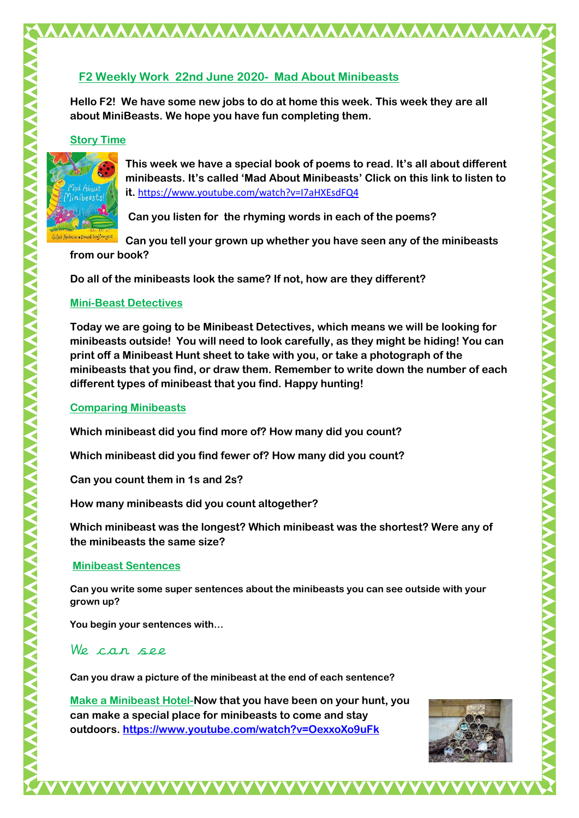## **F2 Weekly Work 22nd June 2020- Mad About Minibeasts**

AAAAAAAAAAAAAAAAAAAAAAAA

**Hello F2! We have some new jobs to do at home this week. This week they are all about MiniBeasts. We hope you have fun completing them.** 

## **Story Time**



**This week we have a special book of poems to read. It's all about different minibeasts. It's called 'Mad About Minibeasts' Click on this link to listen to it.** <https://www.youtube.com/watch?v=I7aHXEsdFQ4>

**Can you listen for the rhyming words in each of the poems?**

Files Andreae . David Wojtowycz **Can you tell your grown up whether you have seen any of the minibeasts** 

**from our book?**

**Do all of the minibeasts look the same? If not, how are they different?**

## **Mini-Beast Detectives**

**Today we are going to be Minibeast Detectives, which means we will be looking for minibeasts outside! You will need to look carefully, as they might be hiding! You can print off a Minibeast Hunt sheet to take with you, or take a photograph of the minibeasts that you find, or draw them. Remember to write down the number of each different types of minibeast that you find. Happy hunting!** 

## **Comparing Minibeasts**

**Which minibeast did you find more of? How many did you count?**

**Which minibeast did you find fewer of? How many did you count?**

**Can you count them in 1s and 2s?**

**How many minibeasts did you count altogether?**

**Which minibeast was the longest? Which minibeast was the shortest? Were any of the minibeasts the same size?**

# **Minibeast Sentences**

**Can you write some super sentences about the minibeasts you can see outside with your grown up?**

**You begin your sentences with…**

# We can see

**Can you draw a picture of the minibeast at the end of each sentence?**

**Make a Minibeast Hotel-Now that you have been on your hunt, you can make a special place for minibeasts to come and stay outdoors.<https://www.youtube.com/watch?v=OexxoXo9uFk>**

VVVVVVVVVVVVVVVV